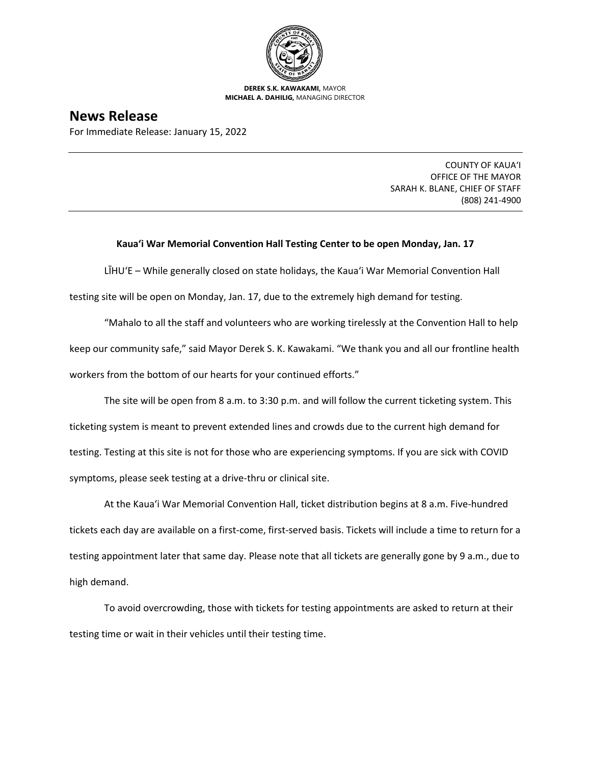

**DEREK S.K. KAWAKAMI,** MAYOR **MICHAEL A. DAHILIG,** MANAGING DIRECTOR

## **News Release**

For Immediate Release: January 15, 2022

COUNTY OF KAUA'I OFFICE OF THE MAYOR SARAH K. BLANE, CHIEF OF STAFF (808) 241-4900

## **Kaua'i War Memorial Convention Hall Testing Center to be open Monday, Jan. 17**

LĪHUʻE – While generally closed on state holidays, the Kaua'i War Memorial Convention Hall testing site will be open on Monday, Jan. 17, due to the extremely high demand for testing.

"Mahalo to all the staff and volunteers who are working tirelessly at the Convention Hall to help keep our community safe," said Mayor Derek S. K. Kawakami. "We thank you and all our frontline health workers from the bottom of our hearts for your continued efforts."

The site will be open from 8 a.m. to 3:30 p.m. and will follow the current ticketing system. This ticketing system is meant to prevent extended lines and crowds due to the current high demand for testing. Testing at this site is not for those who are experiencing symptoms. If you are sick with COVID symptoms, please seek testing at a drive-thru or clinical site.

At the Kaua'i War Memorial Convention Hall, ticket distribution begins at 8 a.m. Five-hundred tickets each day are available on a first-come, first-served basis. Tickets will include a time to return for a testing appointment later that same day. Please note that all tickets are generally gone by 9 a.m., due to high demand.

To avoid overcrowding, those with tickets for testing appointments are asked to return at their testing time or wait in their vehicles until their testing time.